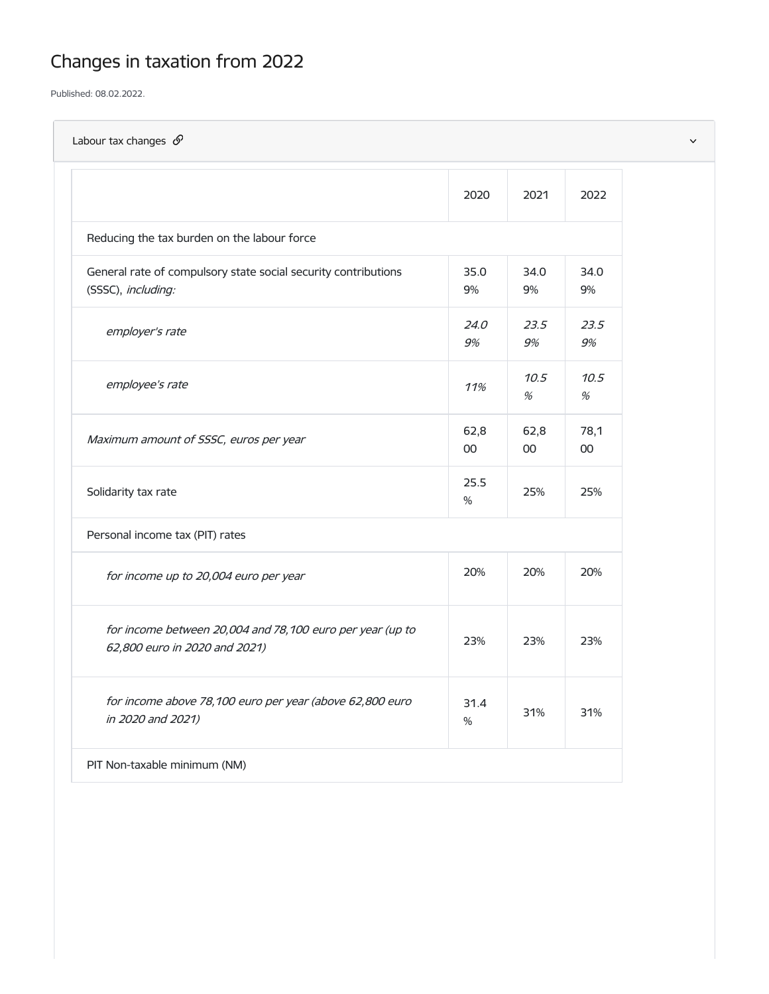## Changes in taxation from 2022

Published: 08.02.2022.

| Labour tax changes $\mathcal{S}$                                                           |                |                |            |
|--------------------------------------------------------------------------------------------|----------------|----------------|------------|
|                                                                                            | 2020           | 2021           | 2022       |
| Reducing the tax burden on the labour force                                                |                |                |            |
| General rate of compulsory state social security contributions<br>(SSSC), including:       | 35.0<br>$9\%$  | 34.0<br>$9\%$  | 34.0<br>9% |
| employer's rate                                                                            | 24.0<br>9%     | 23.5<br>9%     | 23.5<br>9% |
| employee's rate                                                                            | 11%            | 10.5<br>$\%$   | 10.5<br>%  |
| Maximum amount of SSSC, euros per year                                                     | 62,8<br>$00\,$ | 62,8<br>$00\,$ | 78,1<br>00 |
| Solidarity tax rate                                                                        | 25.5<br>$\%$   | 25%            | 25%        |
| Personal income tax (PIT) rates                                                            |                |                |            |
| for income up to 20,004 euro per year                                                      | 20%            | 20%            | 20%        |
| for income between 20,004 and 78,100 euro per year (up to<br>62,800 euro in 2020 and 2021) | 23%            | 23%            | 23%        |
| for income above 78,100 euro per year (above 62,800 euro<br>in 2020 and 2021)              | 31.4<br>$\%$   | 31%            | 31%        |
| PIT Non-taxable minimum (NM)                                                               |                |                |            |
|                                                                                            |                |                |            |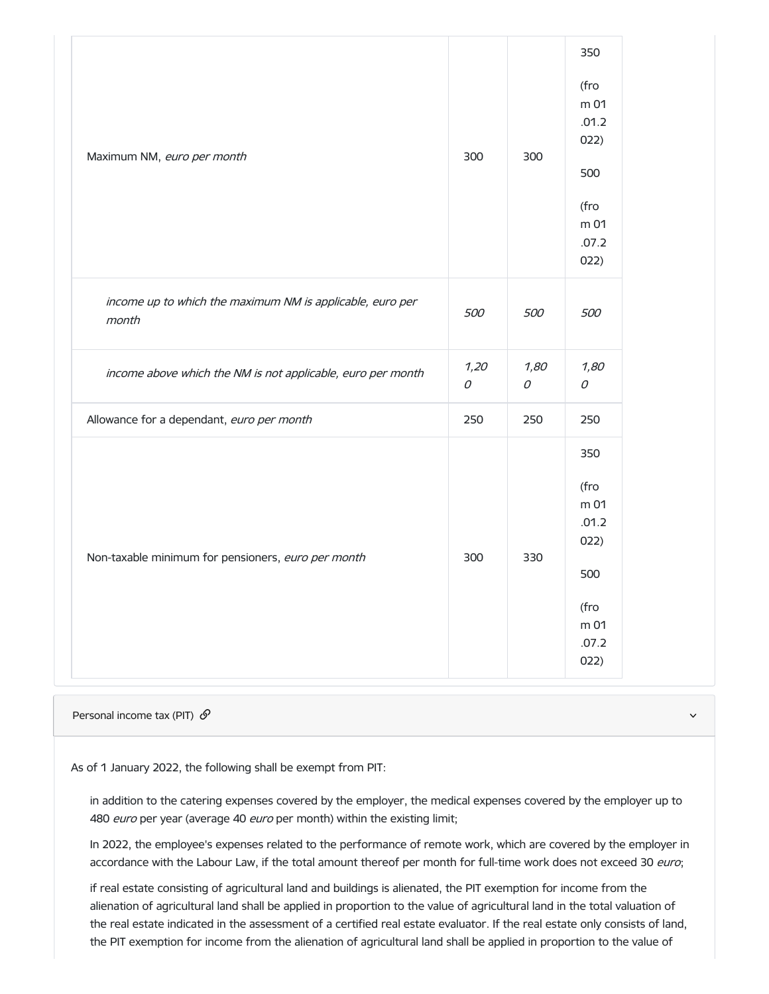| Maximum NM, euro per month                                         | 300 | 300                | 350<br>(fro<br>m 01<br>.01.2<br>022)<br>500<br>(fro<br>m 01<br>.07.2<br>022) |
|--------------------------------------------------------------------|-----|--------------------|------------------------------------------------------------------------------|
| income up to which the maximum NM is applicable, euro per<br>month |     | 500                | 500                                                                          |
| income above which the NM is not applicable, euro per month        |     | 1,80<br>${\cal O}$ | 1,80<br>$\mathcal O$                                                         |
| Allowance for a dependant, euro per month                          | 250 | 250                | 250                                                                          |
| Non-taxable minimum for pensioners, euro per month                 | 300 | 330                | 350<br>(fro<br>m 01<br>.01.2<br>022)<br>500<br>(fro<br>m 01<br>.07.2<br>022) |

Personal income tax (PIT)  $\mathscr{D}$  and the set of the set of the set of the set of the set of the set of the set of the set of the set of the set of the set of the set of the set of the set of the set of the set of the se

As of 1 January 2022, the following shall be exempt from PIT:

in addition to the catering expenses covered by the employer, the medical expenses covered by the employer up to 480 euro per year (average 40 euro per month) within the existing limit;

In 2022, the employee's expenses related to the performance of remote work, which are covered by the employer in accordance with the Labour Law, if the total amount thereof per month for full-time work does not exceed 30 euro;

if real estate consisting of agricultural land and buildings is alienated, the PIT exemption for income from the alienation of agricultural land shall be applied in proportion to the value of agricultural land in the total valuation of the real estate indicated in the assessment of a certified real estate evaluator. If the real estate only consists of land, the PIT exemption for income from the alienation of agricultural land shall be applied in proportion to the value of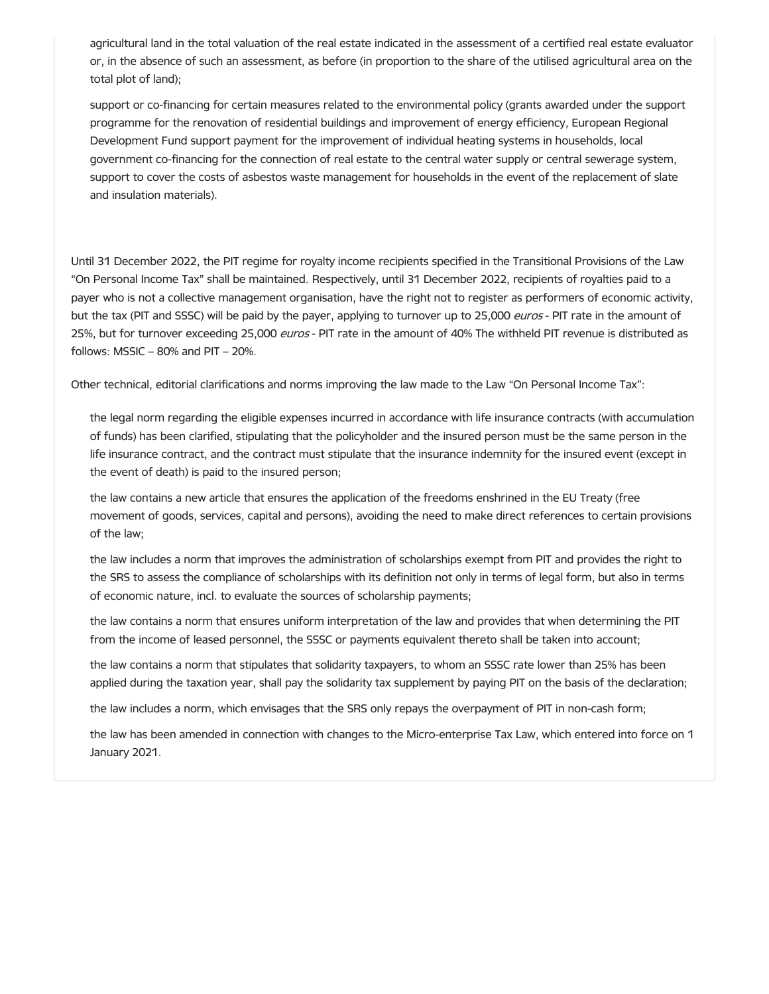agricultural land in the total valuation of the real estate indicated in the assessment of a certified real estate evaluator or, in the absence of such an assessment, as before (in proportion to the share of the utilised agricultural area on the total plot of land);

support or co-financing for certain measures related to the environmental policy (grants awarded under the support programme for the renovation of residential buildings and improvement of energy efficiency, European Regional Development Fund support payment for the improvement of individual heating systems in households, local government co-financing for the connection of real estate to the central water supply or central sewerage system, support to cover the costs of asbestos waste management for households in the event of the replacement of slate and insulation materials).

Until 31 December 2022, the PIT regime for royalty income recipients specified in the Transitional Provisions of the Law "On Personal Income Tax" shall be maintained. Respectively, until 31 December 2022, recipients of royalties paid to a payer who is not a collective management organisation, have the right not to register as performers of economic activity, but the tax (PIT and SSSC) will be paid by the payer, applying to turnover up to 25,000 euros - PIT rate in the amount of 25%, but for turnover exceeding 25,000 euros - PIT rate in the amount of 40% The withheld PIT revenue is distributed as follows:  $MSSIC - 80%$  and  $PIT - 20%$ .

Other technical, editorial clarifications and norms improving the law made to the Law "On Personal Income Tax":

the legal norm regarding the eligible expenses incurred in accordance with life insurance contracts (with accumulation of funds) has been clarified, stipulating that the policyholder and the insured person must be the same person in the life insurance contract, and the contract must stipulate that the insurance indemnity for the insured event (except in the event of death) is paid to the insured person;

the law contains a new article that ensures the application of the freedoms enshrined in the EU Treaty (free movement of goods, services, capital and persons), avoiding the need to make direct references to certain provisions of the law;

the law includes a norm that improves the administration of scholarships exempt from PIT and provides the right to the SRS to assess the compliance of scholarships with its definition not only in terms of legal form, but also in terms of economic nature, incl. to evaluate the sources of scholarship payments;

the law contains a norm that ensures uniform interpretation of the law and provides that when determining the PIT from the income of leased personnel, the SSSC or payments equivalent thereto shall be taken into account;

the law contains a norm that stipulates that solidarity taxpayers, to whom an SSSC rate lower than 25% has been applied during the taxation year, shall pay the solidarity tax supplement by paying PIT on the basis of the declaration;

the law includes a norm, which envisages that the SRS only repays the overpayment of PIT in non-cash form;

the law has been amended in connection with changes to the Micro-enterprise Tax Law, which entered into force on 1 January 2021.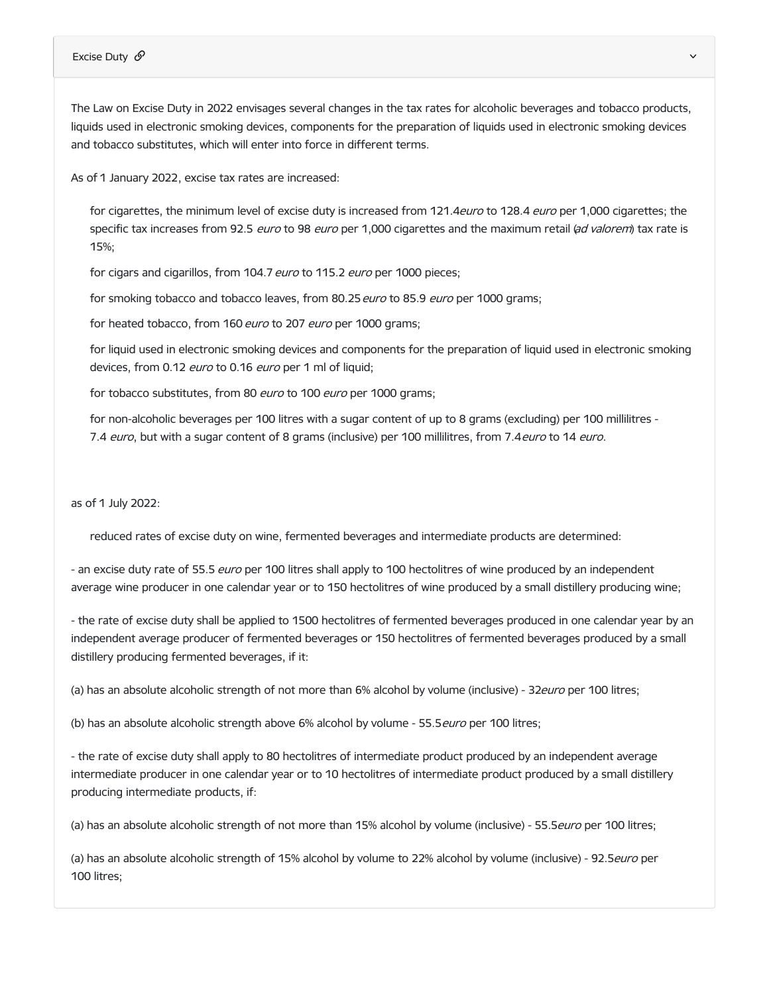## Excise Duty  $\mathscr{S}$

The Law on Excise Duty in 2022 envisages several changes in the tax rates for alcoholic beverages and tobacco products, liquids used in electronic smoking devices, components for the preparation of liquids used in electronic smoking devices and tobacco substitutes, which will enter into force in different terms.

As of 1 January 2022, excise tax rates are increased:

for cigarettes, the minimum level of excise duty is increased from 121.4euro to 128.4 euro per 1,000 cigarettes; the specific tax increases from 92.5 euro to 98 euro per 1,000 cigarettes and the maximum retail (ad valorem) tax rate is 15%;

for cigars and cigarillos, from 104.7 euro to 115.2 euro per 1000 pieces;

for smoking tobacco and tobacco leaves, from 80.25 euro to 85.9 euro per 1000 grams;

for heated tobacco, from 160 euro to 207 euro per 1000 grams;

for liquid used in electronic smoking devices and components for the preparation of liquid used in electronic smoking devices, from 0.12 *euro* to 0.16 *euro* per 1 ml of liquid;

for tobacco substitutes, from 80 euro to 100 euro per 1000 grams;

for non-alcoholic beverages per 100 litres with a sugar content of up to 8 grams (excluding) per 100 millilitres - 7.4 euro, but with a sugar content of 8 grams (inclusive) per 100 millilitres, from 7.4 euro to 14 euro.

as of 1 July 2022:

reduced rates of excise duty on wine, fermented beverages and intermediate products are determined:

- an excise duty rate of 55.5 *euro* per 100 litres shall apply to 100 hectolitres of wine produced by an independent average wine producer in one calendar year or to 150 hectolitres of wine produced by a small distillery producing wine;

- the rate of excise duty shall be applied to 1500 hectolitres of fermented beverages produced in one calendar year by an independent average producer of fermented beverages or 150 hectolitres of fermented beverages produced by a small distillery producing fermented beverages, if it:

(a) has an absolute alcoholic strength of not more than 6% alcohol by volume (inclusive) - 32euro per 100 litres;

(b) has an absolute alcoholic strength above 6% alcohol by volume - 55.5 euro per 100 litres;

- the rate of excise duty shall apply to 80 hectolitres of intermediate product produced by an independent average intermediate producer in one calendar year or to 10 hectolitres of intermediate product produced by a small distillery producing intermediate products, if:

(a) has an absolute alcoholic strength of not more than 15% alcohol by volume (inclusive) - 55.5euro per 100 litres;

(a) has an absolute alcoholic strength of 15% alcohol by volume to 22% alcohol by volume (inclusive) - 92.5euro per 100 litres;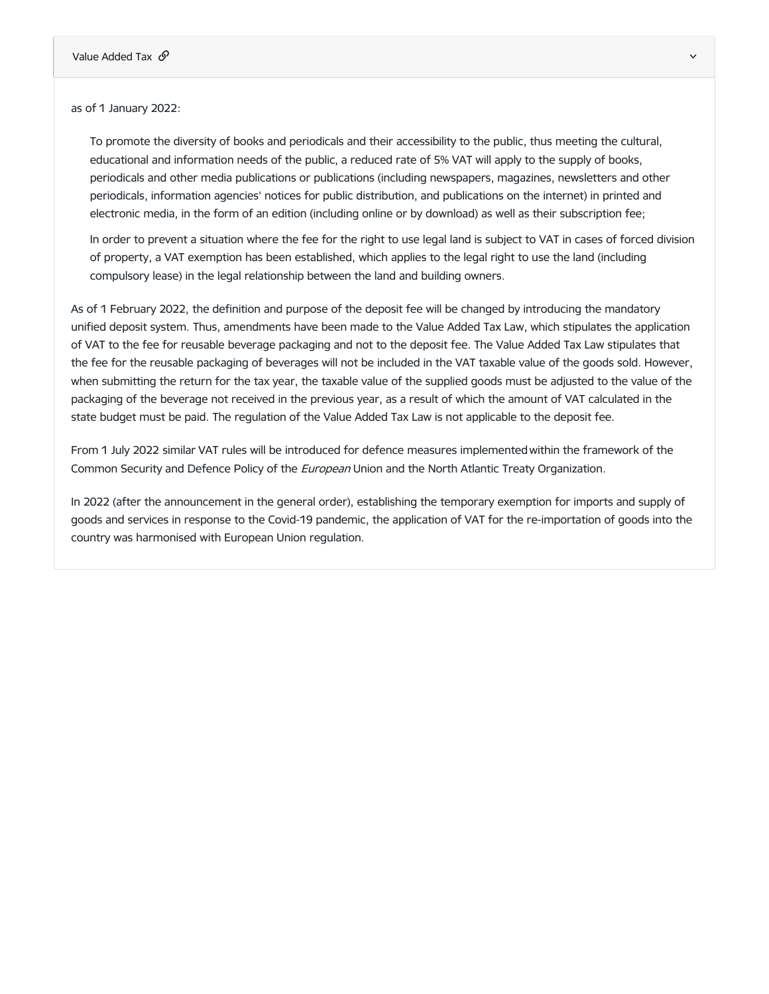as of 1 January 2022:

To promote the diversity of books and periodicals and their accessibility to the public, thus meeting the cultural, educational and information needs of the public, a reduced rate of 5% VAT will apply to the supply of books, periodicals and other media publications or publications (including newspapers, magazines, newsletters and other periodicals, information agencies' notices for public distribution, and publications on the internet) in printed and electronic media, in the form of an edition (including online or by download) as well as their subscription fee;

In order to prevent a situation where the fee for the right to use legal land is subject to VAT in cases of forced division of property, a VAT exemption has been established, which applies to the legal right to use the land (including compulsory lease) in the legal relationship between the land and building owners.

As of 1 February 2022, the definition and purpose of the deposit fee will be changed by introducing the mandatory unified deposit system. Thus, amendments have been made to the Value Added Tax Law, which stipulates the application of VAT to the fee for reusable beverage packaging and not to the deposit fee. The Value Added Tax Law stipulates that the fee for the reusable packaging of beverages will not be included in the VAT taxable value of the goods sold. However, when submitting the return for the tax year, the taxable value of the supplied goods must be adjusted to the value of the packaging of the beverage not received in the previous year, as a result of which the amount of VAT calculated in the state budget must be paid. The regulation of the Value Added Tax Law is not applicable to the deposit fee.

From 1 July 2022 similar VAT rules will be introduced for defence measures implemented within the framework of the Common Security and Defence Policy of the European Union and the North Atlantic Treaty Organization.

In 2022 (after the announcement in the general order), establishing the temporary exemption for imports and supply of goods and services in response to the Covid-19 pandemic, the application of VAT for the re-importation of goods into the country was harmonised with European Union regulation.